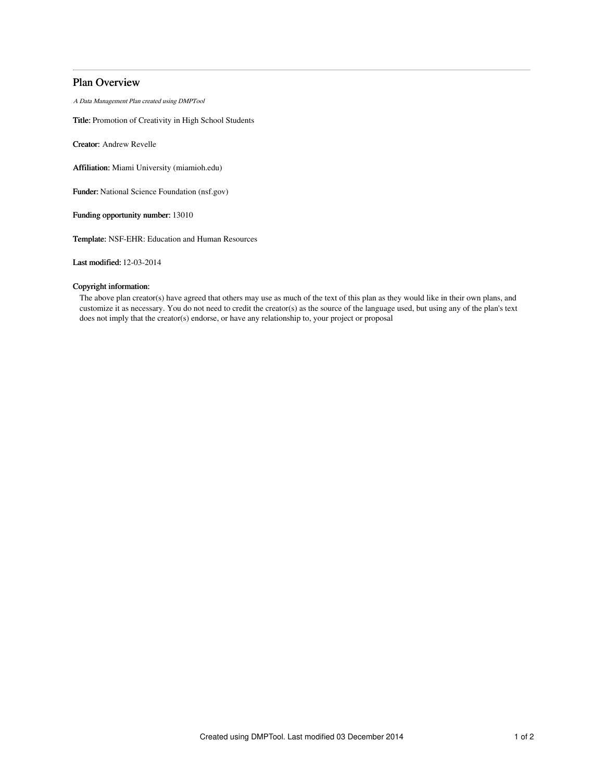# Plan Overview

A Data Management Plan created using DMPTool

Title: Promotion of Creativity in High School Students

Creator: Andrew Revelle

Affiliation: Miami University (miamioh.edu)

Funder: National Science Foundation (nsf.gov)

Funding opportunity number: 13010

Template: NSF-EHR: Education and Human Resources

Last modified: 12-03-2014

# Copyright information:

The above plan creator(s) have agreed that others may use as much of the text of this plan as they would like in their own plans, and customize it as necessary. You do not need to credit the creator(s) as the source of the language used, but using any of the plan's text does not imply that the creator(s) endorse, or have any relationship to, your project or proposal